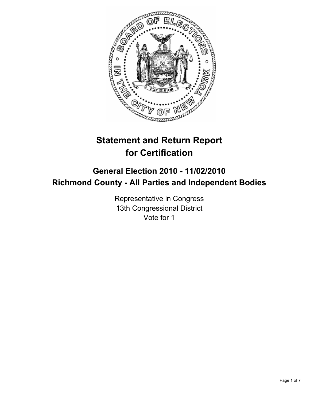

# **Statement and Return Report for Certification**

## **General Election 2010 - 11/02/2010 Richmond County - All Parties and Independent Bodies**

Representative in Congress 13th Congressional District Vote for 1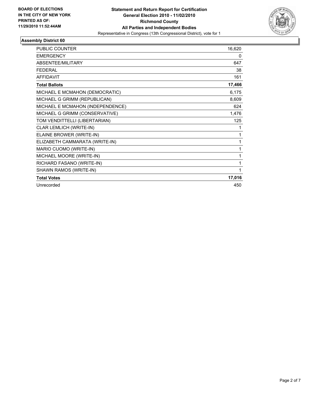

| <b>PUBLIC COUNTER</b>            | 16,620 |
|----------------------------------|--------|
| <b>EMERGENCY</b>                 | 0      |
| ABSENTEE/MILITARY                | 647    |
| <b>FFDFRAI</b>                   | 38     |
| <b>AFFIDAVIT</b>                 | 161    |
| <b>Total Ballots</b>             | 17,466 |
| MICHAEL E MCMAHON (DEMOCRATIC)   | 6,175  |
| MICHAEL G GRIMM (REPUBLICAN)     | 8,609  |
| MICHAEL E MCMAHON (INDEPENDENCE) | 624    |
| MICHAEL G GRIMM (CONSERVATIVE)   | 1,476  |
| TOM VENDITTELLI (LIBERTARIAN)    | 125    |
| CLAR LEMLICH (WRITE-IN)          | 1      |
| ELAINE BROWER (WRITE-IN)         | 1      |
| ELIZABETH CAMMARATA (WRITE-IN)   | 1      |
| MARIO CUOMO (WRITE-IN)           | 1      |
| MICHAEL MOORE (WRITE-IN)         | 1      |
| RICHARD FASANO (WRITE-IN)        | 1      |
| SHAWN RAMOS (WRITE-IN)           | 1      |
| <b>Total Votes</b>               | 17,016 |
| Unrecorded                       | 450    |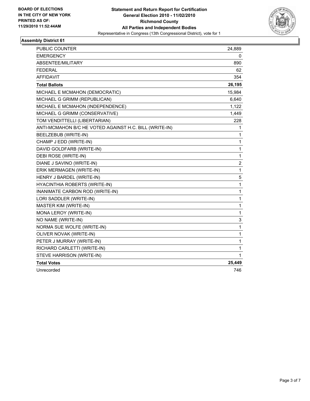

| PUBLIC COUNTER                                         | 24,889         |
|--------------------------------------------------------|----------------|
| <b>EMERGENCY</b>                                       | 0              |
| <b>ABSENTEE/MILITARY</b>                               | 890            |
| FEDERAL                                                | 62             |
| <b>AFFIDAVIT</b>                                       | 354            |
| <b>Total Ballots</b>                                   | 26,195         |
| MICHAEL E MCMAHON (DEMOCRATIC)                         | 15,984         |
| MICHAEL G GRIMM (REPUBLICAN)                           | 6,640          |
| MICHAEL E MCMAHON (INDEPENDENCE)                       | 1,122          |
| MICHAEL G GRIMM (CONSERVATIVE)                         | 1,449          |
| TOM VENDITTELLI (LIBERTARIAN)                          | 228            |
| ANTI-MCMAHON B/C HE VOTED AGAINST H.C. BILL (WRITE-IN) | 1              |
| BEELZEBUB (WRITE-IN)                                   | 1              |
| CHAMP J EDD (WRITE-IN)                                 | 1              |
| DAVID GOLDFARB (WRITE-IN)                              | 1              |
| DEBI ROSE (WRITE-IN)                                   | 1              |
| DIANE J SAVINO (WRITE-IN)                              | $\overline{2}$ |
| ERIK MERMAGEN (WRITE-IN)                               | 1              |
| HENRY J BARDEL (WRITE-IN)                              | 5              |
| HYACINTHIA ROBERTS (WRITE-IN)                          | 1              |
| INANIMATE CARBON ROD (WRITE-IN)                        | 1              |
| LORI SADDLER (WRITE-IN)                                | 1              |
| <b>MASTER KIM (WRITE-IN)</b>                           | 1              |
| MONA LEROY (WRITE-IN)                                  | 1              |
| NO NAME (WRITE-IN)                                     | 3              |
| NORMA SUE WOLFE (WRITE-IN)                             | 1              |
| OLIVER NOVAK (WRITE-IN)                                | 1              |
| PETER J MURRAY (WRITE-IN)                              | 1              |
| RICHARD CARLETTI (WRITE-IN)                            | 1              |
| STEVE HARRISON (WRITE-IN)                              | 1              |
| <b>Total Votes</b>                                     | 25,449         |
| Unrecorded                                             | 746            |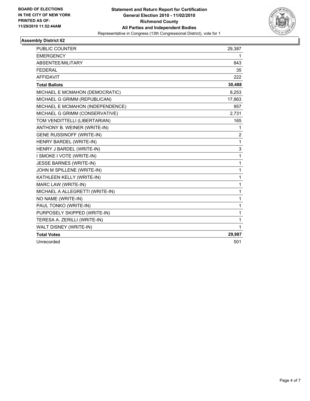

| <b>PUBLIC COUNTER</b>            | 29,387         |
|----------------------------------|----------------|
| <b>EMERGENCY</b>                 | 1              |
| ABSENTEE/MILITARY                | 843            |
| <b>FFDFRAI</b>                   | 35             |
| <b>AFFIDAVIT</b>                 | 222            |
| <b>Total Ballots</b>             | 30,488         |
| MICHAEL E MCMAHON (DEMOCRATIC)   | 8,253          |
| MICHAEL G GRIMM (REPUBLICAN)     | 17,863         |
| MICHAEL E MCMAHON (INDEPENDENCE) | 957            |
| MICHAEL G GRIMM (CONSERVATIVE)   | 2,731          |
| TOM VENDITTELLI (LIBERTARIAN)    | 165            |
| ANTHONY B. WEINER (WRITE-IN)     | 1              |
| <b>GENE RUSSINOFF (WRITE-IN)</b> | $\overline{2}$ |
| HENRY BARDEL (WRITE-IN)          | 1              |
| HENRY J BARDEL (WRITE-IN)        | 3              |
| I SMOKE I VOTE (WRITE-IN)        | 1              |
| JESSE BARNES (WRITE-IN)          | 1              |
| JOHN M SPILLENE (WRITE-IN)       | 1              |
| KATHLEEN KELLY (WRITE-IN)        | 1              |
| MARC LAW (WRITE-IN)              | 1              |
| MICHAEL A ALLEGRETTI (WRITE-IN)  | 1              |
| NO NAME (WRITE-IN)               | 1              |
| PAUL TONKO (WRITE-IN)            | 1              |
| PURPOSELY SKIPPED (WRITE-IN)     | 1              |
| TERESA A. ZERILLI (WRITE-IN)     | 1              |
| WALT DISNEY (WRITE-IN)           | 1              |
| <b>Total Votes</b>               | 29,987         |
| Unrecorded                       | 501            |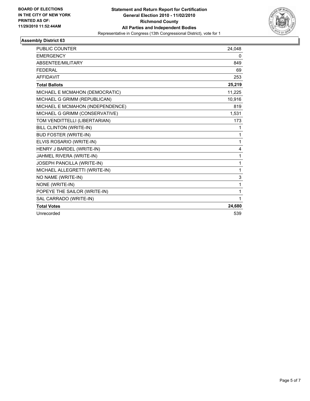

| <b>PUBLIC COUNTER</b>            | 24,048 |
|----------------------------------|--------|
| <b>EMERGENCY</b>                 | 0      |
| ABSENTEE/MILITARY                | 849    |
| <b>FEDERAL</b>                   | 69     |
| <b>AFFIDAVIT</b>                 | 253    |
| <b>Total Ballots</b>             | 25,219 |
| MICHAEL E MCMAHON (DEMOCRATIC)   | 11,225 |
| MICHAEL G GRIMM (REPUBLICAN)     | 10,916 |
| MICHAEL E MCMAHON (INDEPENDENCE) | 819    |
| MICHAEL G GRIMM (CONSERVATIVE)   | 1,531  |
| TOM VENDITTELLI (LIBERTARIAN)    | 173    |
| BILL CLINTON (WRITE-IN)          | 1      |
| <b>BUD FOSTER (WRITE-IN)</b>     | 1      |
| ELVIS ROSARIO (WRITE-IN)         | 1      |
| HENRY J BARDEL (WRITE-IN)        | 4      |
| JAHMEL RIVERA (WRITE-IN)         | 1      |
| JOSEPH PANCILLA (WRITE-IN)       | 1      |
| MICHAEL ALLEGRETTI (WRITE-IN)    | 1      |
| NO NAME (WRITE-IN)               | 3      |
| NONE (WRITE-IN)                  | 1      |
| POPEYE THE SAILOR (WRITE-IN)     | 1      |
| SAL CARRADO (WRITE-IN)           | 1      |
| <b>Total Votes</b>               | 24,680 |
| Unrecorded                       | 539    |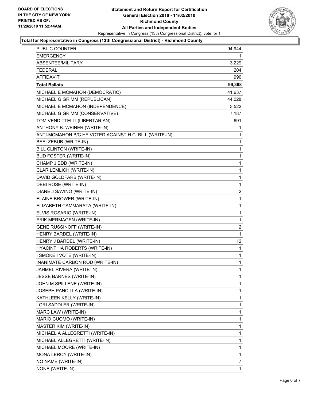

#### **Total for Representative in Congress (13th Congressional District) - Richmond County**

| PUBLIC COUNTER                                         | 94,944       |
|--------------------------------------------------------|--------------|
| <b>EMERGENCY</b>                                       | 1            |
| ABSENTEE/MILITARY                                      | 3,229        |
| <b>FEDERAL</b>                                         | 204          |
| <b>AFFIDAVIT</b>                                       | 990          |
| <b>Total Ballots</b>                                   | 99,368       |
| MICHAEL E MCMAHON (DEMOCRATIC)                         | 41,637       |
| MICHAEL G GRIMM (REPUBLICAN)                           | 44,028       |
| MICHAEL E MCMAHON (INDEPENDENCE)                       | 3,522        |
| MICHAEL G GRIMM (CONSERVATIVE)                         | 7,187        |
| TOM VENDITTELLI (LIBERTARIAN)                          | 691          |
| ANTHONY B. WEINER (WRITE-IN)                           | 1            |
| ANTI-MCMAHON B/C HE VOTED AGAINST H.C. BILL (WRITE-IN) | 1            |
| BEELZEBUB (WRITE-IN)                                   | 1            |
| BILL CLINTON (WRITE-IN)                                | 1            |
| <b>BUD FOSTER (WRITE-IN)</b>                           | 1            |
| CHAMP J EDD (WRITE-IN)                                 | $\mathbf{1}$ |
| CLAR LEMLICH (WRITE-IN)                                | 1            |
| DAVID GOLDFARB (WRITE-IN)                              | 1            |
| DEBI ROSE (WRITE-IN)                                   | 1            |
| DIANE J SAVINO (WRITE-IN)                              | 2            |
| ELAINE BROWER (WRITE-IN)                               | 1            |
| ELIZABETH CAMMARATA (WRITE-IN)                         | $\mathbf{1}$ |
| ELVIS ROSARIO (WRITE-IN)                               | 1            |
| ERIK MERMAGEN (WRITE-IN)                               | 1            |
| GENE RUSSINOFF (WRITE-IN)                              | 2            |
| HENRY BARDEL (WRITE-IN)                                | $\mathbf{1}$ |
| HENRY J BARDEL (WRITE-IN)                              | 12           |
| HYACINTHIA ROBERTS (WRITE-IN)                          | 1            |
| I SMOKE I VOTE (WRITE-IN)                              | 1            |
| INANIMATE CARBON ROD (WRITE-IN)                        | 1            |
| JAHMEL RIVERA (WRITE-IN)                               | $\mathbf 1$  |
| JESSE BARNES (WRITE-IN)                                | 1            |
| JOHN M SPILLENE (WRITE-IN)                             | 1            |
| JOSEPH PANCILLA (WRITE-IN)                             | 1            |
| KATHLEEN KELLY (WRITE-IN)                              | 1            |
| LORI SADDLER (WRITE-IN)                                | 1            |
| MARC LAW (WRITE-IN)                                    | 1            |
| MARIO CUOMO (WRITE-IN)                                 | 1            |
| MASTER KIM (WRITE-IN)                                  | 1            |
| MICHAEL A ALLEGRETTI (WRITE-IN)                        | 1            |
| MICHAEL ALLEGRETTI (WRITE-IN)                          | 1            |
| MICHAEL MOORE (WRITE-IN)                               | 1            |
| MONA LEROY (WRITE-IN)                                  | 1            |
| NO NAME (WRITE-IN)                                     | 7            |
| NONE (WRITE-IN)                                        | 1            |